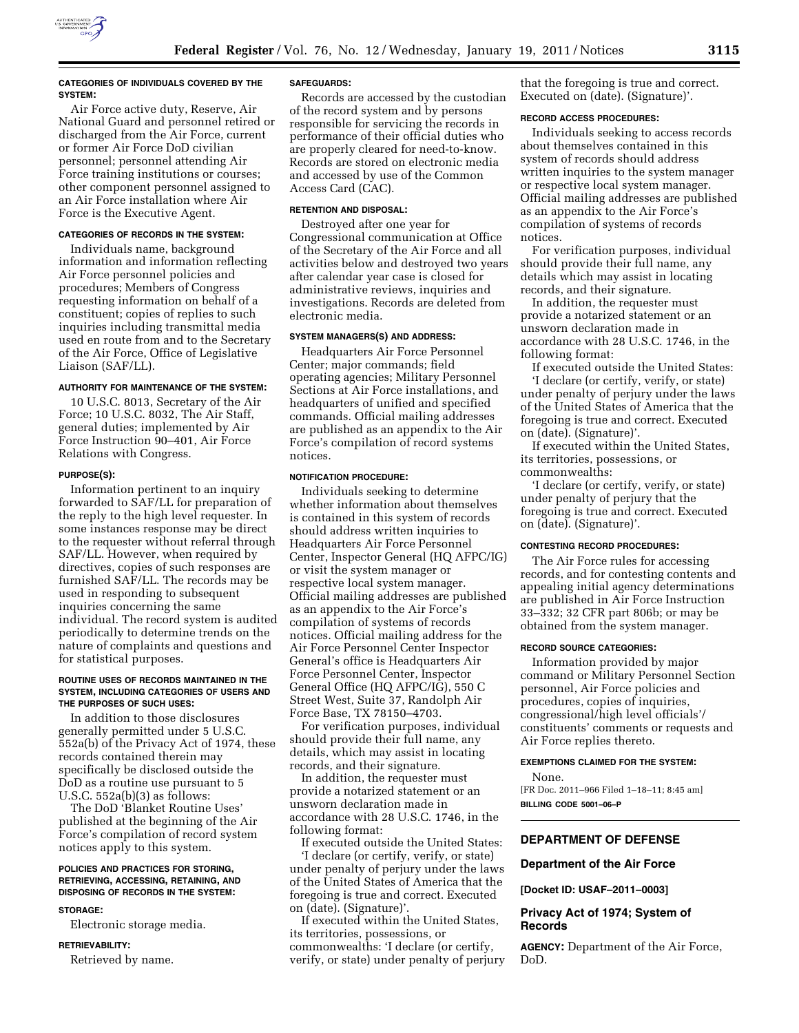

## **CATEGORIES OF INDIVIDUALS COVERED BY THE SYSTEM:**

Air Force active duty, Reserve, Air National Guard and personnel retired or discharged from the Air Force, current or former Air Force DoD civilian personnel; personnel attending Air Force training institutions or courses; other component personnel assigned to an Air Force installation where Air Force is the Executive Agent.

# **CATEGORIES OF RECORDS IN THE SYSTEM:**

Individuals name, background information and information reflecting Air Force personnel policies and procedures; Members of Congress requesting information on behalf of a constituent; copies of replies to such inquiries including transmittal media used en route from and to the Secretary of the Air Force, Office of Legislative Liaison (SAF/LL).

## **AUTHORITY FOR MAINTENANCE OF THE SYSTEM:**

10 U.S.C. 8013, Secretary of the Air Force; 10 U.S.C. 8032, The Air Staff, general duties; implemented by Air Force Instruction 90–401, Air Force Relations with Congress.

# **PURPOSE(S):**

Information pertinent to an inquiry forwarded to SAF/LL for preparation of the reply to the high level requester. In some instances response may be direct to the requester without referral through SAF/LL. However, when required by directives, copies of such responses are furnished SAF/LL. The records may be used in responding to subsequent inquiries concerning the same individual. The record system is audited periodically to determine trends on the nature of complaints and questions and for statistical purposes.

## **ROUTINE USES OF RECORDS MAINTAINED IN THE SYSTEM, INCLUDING CATEGORIES OF USERS AND THE PURPOSES OF SUCH USES:**

In addition to those disclosures generally permitted under 5 U.S.C. 552a(b) of the Privacy Act of 1974, these records contained therein may specifically be disclosed outside the DoD as a routine use pursuant to 5 U.S.C. 552a(b)(3) as follows:

The DoD 'Blanket Routine Uses' published at the beginning of the Air Force's compilation of record system notices apply to this system.

## **POLICIES AND PRACTICES FOR STORING, RETRIEVING, ACCESSING, RETAINING, AND DISPOSING OF RECORDS IN THE SYSTEM:**

#### **STORAGE:**

Electronic storage media.

### **RETRIEVABILITY:**

Retrieved by name.

### **SAFEGUARDS:**

Records are accessed by the custodian of the record system and by persons responsible for servicing the records in performance of their official duties who are properly cleared for need-to-know. Records are stored on electronic media and accessed by use of the Common Access Card (CAC).

#### **RETENTION AND DISPOSAL:**

Destroyed after one year for Congressional communication at Office of the Secretary of the Air Force and all activities below and destroyed two years after calendar year case is closed for administrative reviews, inquiries and investigations. Records are deleted from electronic media.

# **SYSTEM MANAGERS(S) AND ADDRESS:**

Headquarters Air Force Personnel Center; major commands; field operating agencies; Military Personnel Sections at Air Force installations, and headquarters of unified and specified commands. Official mailing addresses are published as an appendix to the Air Force's compilation of record systems notices.

#### **NOTIFICATION PROCEDURE:**

Individuals seeking to determine whether information about themselves is contained in this system of records should address written inquiries to Headquarters Air Force Personnel Center, Inspector General (HQ AFPC/IG) or visit the system manager or respective local system manager. Official mailing addresses are published as an appendix to the Air Force's compilation of systems of records notices. Official mailing address for the Air Force Personnel Center Inspector General's office is Headquarters Air Force Personnel Center, Inspector General Office (HQ AFPC/IG), 550 C Street West, Suite 37, Randolph Air Force Base, TX 78150–4703.

For verification purposes, individual should provide their full name, any details, which may assist in locating records, and their signature.

In addition, the requester must provide a notarized statement or an unsworn declaration made in accordance with 28 U.S.C. 1746, in the following format:

If executed outside the United States: 'I declare (or certify, verify, or state) under penalty of perjury under the laws of the United States of America that the foregoing is true and correct. Executed on (date). (Signature)'.

If executed within the United States, its territories, possessions, or commonwealths: 'I declare (or certify, verify, or state) under penalty of perjury

that the foregoing is true and correct. Executed on (date). (Signature)'.

# **RECORD ACCESS PROCEDURES:**

Individuals seeking to access records about themselves contained in this system of records should address written inquiries to the system manager or respective local system manager. Official mailing addresses are published as an appendix to the Air Force's compilation of systems of records notices.

For verification purposes, individual should provide their full name, any details which may assist in locating records, and their signature.

In addition, the requester must provide a notarized statement or an unsworn declaration made in accordance with 28 U.S.C. 1746, in the following format:

If executed outside the United States: 'I declare (or certify, verify, or state) under penalty of perjury under the laws of the United States of America that the foregoing is true and correct. Executed on (date). (Signature)'.

If executed within the United States, its territories, possessions, or commonwealths:

'I declare (or certify, verify, or state) under penalty of perjury that the foregoing is true and correct. Executed on (date). (Signature)'.

# **CONTESTING RECORD PROCEDURES:**

The Air Force rules for accessing records, and for contesting contents and appealing initial agency determinations are published in Air Force Instruction 33–332; 32 CFR part 806b; or may be obtained from the system manager.

## **RECORD SOURCE CATEGORIES:**

Information provided by major command or Military Personnel Section personnel, Air Force policies and procedures, copies of inquiries, congressional/high level officials'/ constituents' comments or requests and Air Force replies thereto.

#### **EXEMPTIONS CLAIMED FOR THE SYSTEM:**

None.

[FR Doc. 2011–966 Filed 1–18–11; 8:45 am] **BILLING CODE 5001–06–P** 

# **DEPARTMENT OF DEFENSE**

# **Department of the Air Force**

**[Docket ID: USAF–2011–0003]** 

# **Privacy Act of 1974; System of Records**

**AGENCY:** Department of the Air Force, DoD.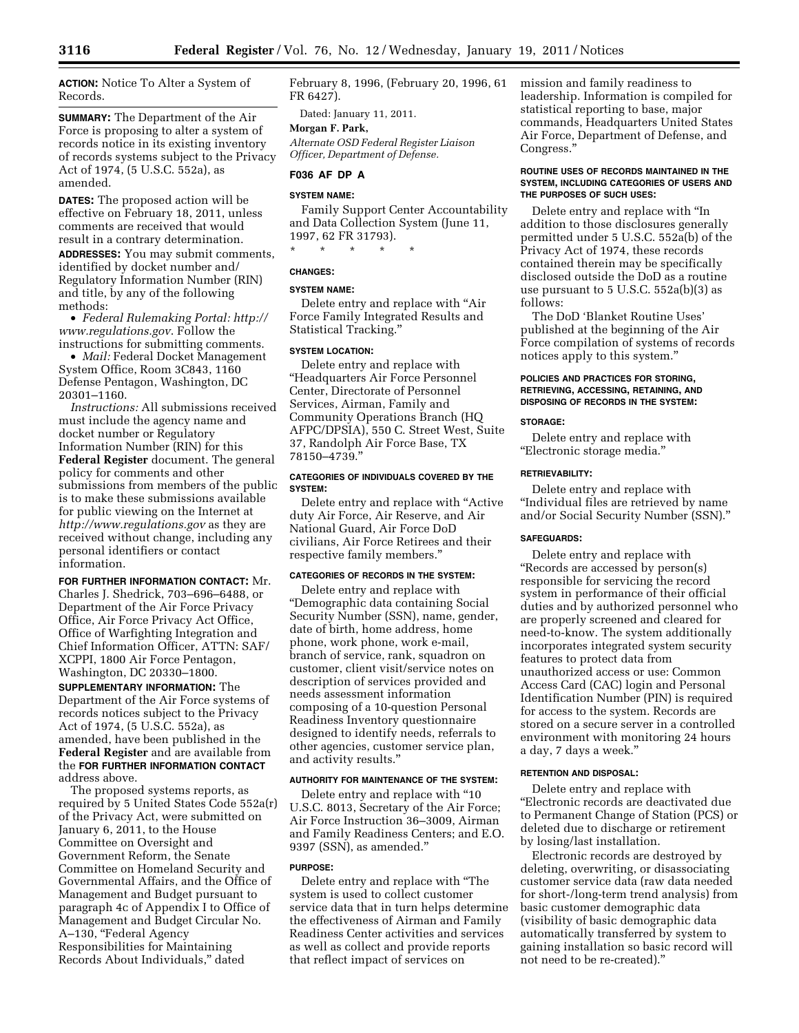**ACTION:** Notice To Alter a System of Records.

**SUMMARY:** The Department of the Air Force is proposing to alter a system of records notice in its existing inventory of records systems subject to the Privacy Act of 1974, (5 U.S.C. 552a), as amended.

**DATES:** The proposed action will be effective on February 18, 2011, unless comments are received that would result in a contrary determination.

**ADDRESSES:** You may submit comments, identified by docket number and/ Regulatory Information Number (RIN) and title, by any of the following methods:

• *Federal Rulemaking Portal: [http://](http://www.regulations.gov) [www.regulations.gov](http://www.regulations.gov)*. Follow the instructions for submitting comments.

• *Mail:* Federal Docket Management System Office, Room 3C843, 1160 Defense Pentagon, Washington, DC 20301–1160.

*Instructions:* All submissions received must include the agency name and docket number or Regulatory Information Number (RIN) for this **Federal Register** document. The general policy for comments and other submissions from members of the public is to make these submissions available for public viewing on the Internet at *<http://www.regulations.gov>* as they are received without change, including any personal identifiers or contact information.

**FOR FURTHER INFORMATION CONTACT:** Mr. Charles J. Shedrick, 703–696–6488, or Department of the Air Force Privacy Office, Air Force Privacy Act Office, Office of Warfighting Integration and Chief Information Officer, ATTN: SAF/ XCPPI, 1800 Air Force Pentagon, Washington, DC 20330–1800.

**SUPPLEMENTARY INFORMATION:** The Department of the Air Force systems of records notices subject to the Privacy Act of 1974, (5 U.S.C. 552a), as amended, have been published in the **Federal Register** and are available from the **FOR FURTHER INFORMATION CONTACT** address above.

The proposed systems reports, as required by 5 United States Code 552a(r) of the Privacy Act, were submitted on January 6, 2011, to the House Committee on Oversight and Government Reform, the Senate Committee on Homeland Security and Governmental Affairs, and the Office of Management and Budget pursuant to paragraph 4c of Appendix I to Office of Management and Budget Circular No. A-130, "Federal Agency Responsibilities for Maintaining Records About Individuals,'' dated

February 8, 1996, (February 20, 1996, 61 FR 6427).

Dated: January 11, 2011.

# **Morgan F. Park,**

*Alternate OSD Federal Register Liaison Officer, Department of Defense.* 

### **F036 AF DP A**

#### **SYSTEM NAME:**

Family Support Center Accountability and Data Collection System (June 11, 1997, 62 FR 31793).

\* \* \* \* \*

# **CHANGES:**

# **SYSTEM NAME:**

Delete entry and replace with ''Air Force Family Integrated Results and Statistical Tracking.''

# **SYSTEM LOCATION:**

Delete entry and replace with ''Headquarters Air Force Personnel Center, Directorate of Personnel Services, Airman, Family and Community Operations Branch (HQ AFPC/DPSIA), 550 C. Street West, Suite 37, Randolph Air Force Base, TX 78150–4739.''

## **CATEGORIES OF INDIVIDUALS COVERED BY THE SYSTEM:**

Delete entry and replace with ''Active duty Air Force, Air Reserve, and Air National Guard, Air Force DoD civilians, Air Force Retirees and their respective family members.''

## **CATEGORIES OF RECORDS IN THE SYSTEM:**

Delete entry and replace with ''Demographic data containing Social Security Number (SSN), name, gender, date of birth, home address, home phone, work phone, work e-mail, branch of service, rank, squadron on customer, client visit/service notes on description of services provided and needs assessment information composing of a 10-question Personal Readiness Inventory questionnaire designed to identify needs, referrals to other agencies, customer service plan, and activity results.''

#### **AUTHORITY FOR MAINTENANCE OF THE SYSTEM:**

Delete entry and replace with ''10 U.S.C. 8013, Secretary of the Air Force; Air Force Instruction 36–3009, Airman and Family Readiness Centers; and E.O. 9397 (SSN), as amended.''

#### **PURPOSE:**

Delete entry and replace with ''The system is used to collect customer service data that in turn helps determine the effectiveness of Airman and Family Readiness Center activities and services as well as collect and provide reports that reflect impact of services on

mission and family readiness to leadership. Information is compiled for statistical reporting to base, major commands, Headquarters United States Air Force, Department of Defense, and Congress.''

## **ROUTINE USES OF RECORDS MAINTAINED IN THE SYSTEM, INCLUDING CATEGORIES OF USERS AND THE PURPOSES OF SUCH USES:**

Delete entry and replace with ''In addition to those disclosures generally permitted under 5 U.S.C. 552a(b) of the Privacy Act of 1974, these records contained therein may be specifically disclosed outside the DoD as a routine use pursuant to 5 U.S.C. 552a(b)(3) as follows:

The DoD 'Blanket Routine Uses' published at the beginning of the Air Force compilation of systems of records notices apply to this system.''

## **POLICIES AND PRACTICES FOR STORING, RETRIEVING, ACCESSING, RETAINING, AND DISPOSING OF RECORDS IN THE SYSTEM:**

# **STORAGE:**

Delete entry and replace with ''Electronic storage media.''

# **RETRIEVABILITY:**

Delete entry and replace with ''Individual files are retrieved by name and/or Social Security Number (SSN).''

## **SAFEGUARDS:**

Delete entry and replace with ''Records are accessed by person(s) responsible for servicing the record system in performance of their official duties and by authorized personnel who are properly screened and cleared for need-to-know. The system additionally incorporates integrated system security features to protect data from unauthorized access or use: Common Access Card (CAC) login and Personal Identification Number (PIN) is required for access to the system. Records are stored on a secure server in a controlled environment with monitoring 24 hours a day, 7 days a week.''

### **RETENTION AND DISPOSAL:**

Delete entry and replace with ''Electronic records are deactivated due to Permanent Change of Station (PCS) or deleted due to discharge or retirement by losing/last installation.

Electronic records are destroyed by deleting, overwriting, or disassociating customer service data (raw data needed for short-/long-term trend analysis) from basic customer demographic data (visibility of basic demographic data automatically transferred by system to gaining installation so basic record will not need to be re-created).''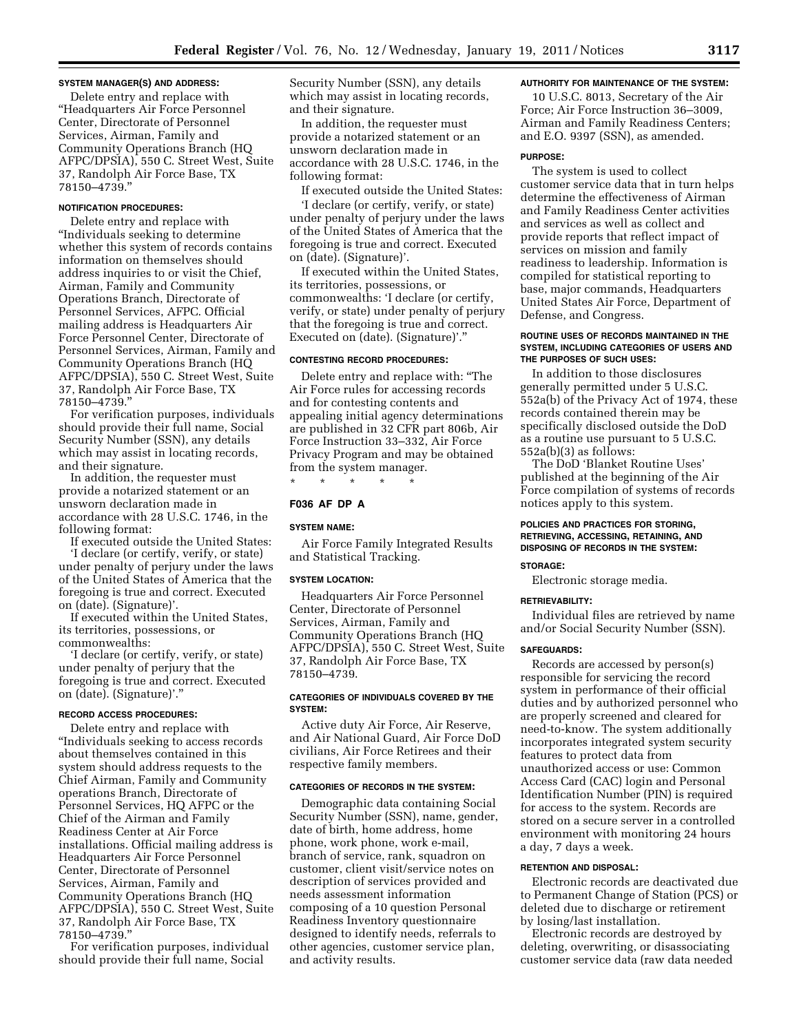## **SYSTEM MANAGER(S) AND ADDRESS:**

Delete entry and replace with ''Headquarters Air Force Personnel Center, Directorate of Personnel Services, Airman, Family and Community Operations Branch (HQ AFPC/DPSIA), 550 C. Street West, Suite 37, Randolph Air Force Base, TX 78150–4739.''

# **NOTIFICATION PROCEDURES:**

Delete entry and replace with ''Individuals seeking to determine whether this system of records contains information on themselves should address inquiries to or visit the Chief, Airman, Family and Community Operations Branch, Directorate of Personnel Services, AFPC. Official mailing address is Headquarters Air Force Personnel Center, Directorate of Personnel Services, Airman, Family and Community Operations Branch (HQ AFPC/DPSIA), 550 C. Street West, Suite 37, Randolph Air Force Base, TX 78150–4739.''

For verification purposes, individuals should provide their full name, Social Security Number (SSN), any details which may assist in locating records, and their signature.

In addition, the requester must provide a notarized statement or an unsworn declaration made in accordance with 28 U.S.C. 1746, in the following format:

If executed outside the United States: 'I declare (or certify, verify, or state) under penalty of perjury under the laws of the United States of America that the foregoing is true and correct. Executed on (date). (Signature)'.

If executed within the United States, its territories, possessions, or commonwealths:

'I declare (or certify, verify, or state) under penalty of perjury that the foregoing is true and correct. Executed on (date). (Signature)'.''

## **RECORD ACCESS PROCEDURES:**

Delete entry and replace with ''Individuals seeking to access records about themselves contained in this system should address requests to the Chief Airman, Family and Community operations Branch, Directorate of Personnel Services, HQ AFPC or the Chief of the Airman and Family Readiness Center at Air Force installations. Official mailing address is Headquarters Air Force Personnel Center, Directorate of Personnel Services, Airman, Family and Community Operations Branch (HQ AFPC/DPSIA), 550 C. Street West, Suite 37, Randolph Air Force Base, TX 78150–4739.''

For verification purposes, individual should provide their full name, Social

Security Number (SSN), any details which may assist in locating records, and their signature.

In addition, the requester must provide a notarized statement or an unsworn declaration made in accordance with 28 U.S.C. 1746, in the following format:

If executed outside the United States:

'I declare (or certify, verify, or state) under penalty of perjury under the laws of the United States of America that the foregoing is true and correct. Executed on (date). (Signature)'.

If executed within the United States, its territories, possessions, or commonwealths: 'I declare (or certify, verify, or state) under penalty of perjury that the foregoing is true and correct. Executed on (date). (Signature)'.''

#### **CONTESTING RECORD PROCEDURES:**

Delete entry and replace with: ''The Air Force rules for accessing records and for contesting contents and appealing initial agency determinations are published in 32 CFR part 806b, Air Force Instruction 33–332, Air Force Privacy Program and may be obtained from the system manager.

\* \* \* \* \*

# **F036 AF DP A**

### **SYSTEM NAME:**

Air Force Family Integrated Results and Statistical Tracking.

#### **SYSTEM LOCATION:**

Headquarters Air Force Personnel Center, Directorate of Personnel Services, Airman, Family and Community Operations Branch (HQ AFPC/DPSIA), 550 C. Street West, Suite 37, Randolph Air Force Base, TX 78150–4739.

## **CATEGORIES OF INDIVIDUALS COVERED BY THE SYSTEM:**

Active duty Air Force, Air Reserve, and Air National Guard, Air Force DoD civilians, Air Force Retirees and their respective family members.

#### **CATEGORIES OF RECORDS IN THE SYSTEM:**

Demographic data containing Social Security Number (SSN), name, gender, date of birth, home address, home phone, work phone, work e-mail, branch of service, rank, squadron on customer, client visit/service notes on description of services provided and needs assessment information composing of a 10 question Personal Readiness Inventory questionnaire designed to identify needs, referrals to other agencies, customer service plan, and activity results.

## **AUTHORITY FOR MAINTENANCE OF THE SYSTEM:**

10 U.S.C. 8013, Secretary of the Air Force; Air Force Instruction 36–3009, Airman and Family Readiness Centers; and E.O. 9397 (SSN), as amended.

#### **PURPOSE:**

The system is used to collect customer service data that in turn helps determine the effectiveness of Airman and Family Readiness Center activities and services as well as collect and provide reports that reflect impact of services on mission and family readiness to leadership. Information is compiled for statistical reporting to base, major commands, Headquarters United States Air Force, Department of Defense, and Congress.

## **ROUTINE USES OF RECORDS MAINTAINED IN THE SYSTEM, INCLUDING CATEGORIES OF USERS AND THE PURPOSES OF SUCH USES:**

In addition to those disclosures generally permitted under 5 U.S.C. 552a(b) of the Privacy Act of 1974, these records contained therein may be specifically disclosed outside the DoD as a routine use pursuant to 5 U.S.C.  $552a(b)(3)$  as follows:

The DoD 'Blanket Routine Uses' published at the beginning of the Air Force compilation of systems of records notices apply to this system.

## **POLICIES AND PRACTICES FOR STORING, RETRIEVING, ACCESSING, RETAINING, AND DISPOSING OF RECORDS IN THE SYSTEM:**

#### **STORAGE:**

Electronic storage media.

#### **RETRIEVABILITY:**

Individual files are retrieved by name and/or Social Security Number (SSN).

#### **SAFEGUARDS:**

Records are accessed by person(s) responsible for servicing the record system in performance of their official duties and by authorized personnel who are properly screened and cleared for need-to-know. The system additionally incorporates integrated system security features to protect data from unauthorized access or use: Common Access Card (CAC) login and Personal Identification Number (PIN) is required for access to the system. Records are stored on a secure server in a controlled environment with monitoring 24 hours a day, 7 days a week.

### **RETENTION AND DISPOSAL:**

Electronic records are deactivated due to Permanent Change of Station (PCS) or deleted due to discharge or retirement by losing/last installation.

Electronic records are destroyed by deleting, overwriting, or disassociating customer service data (raw data needed